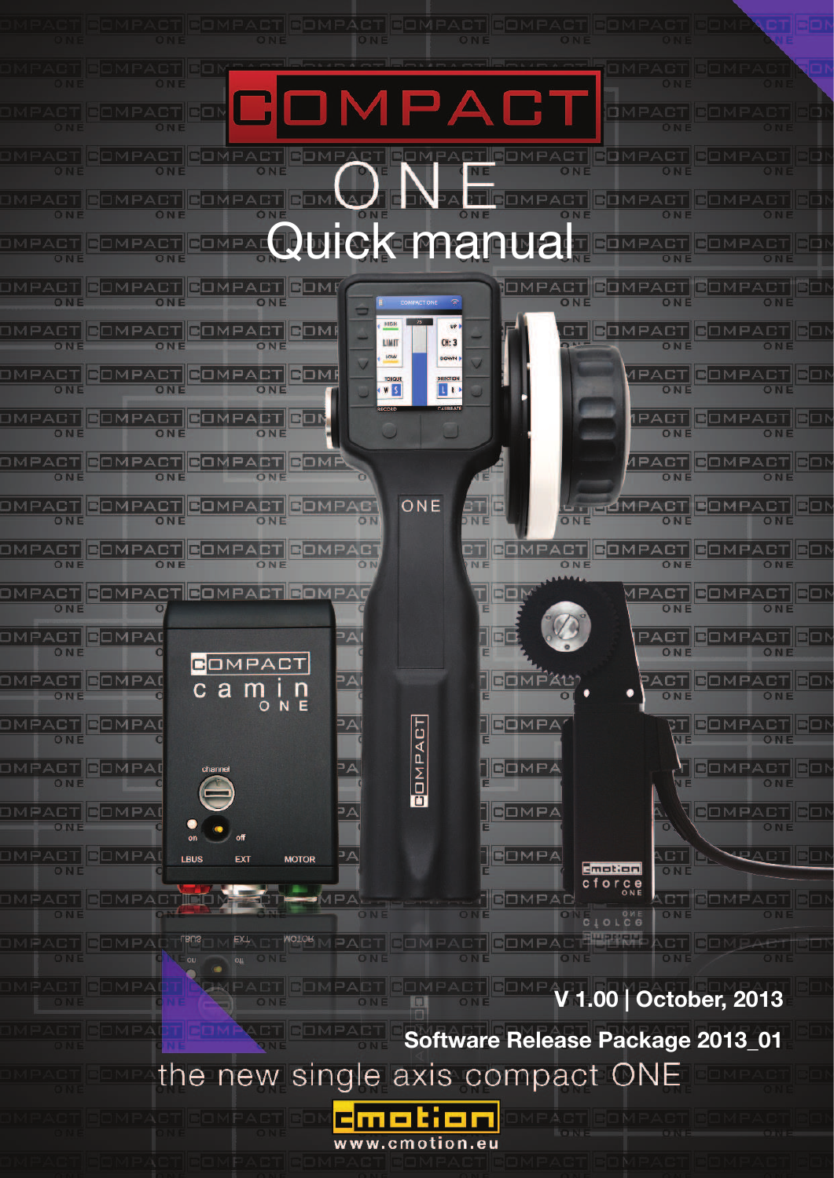

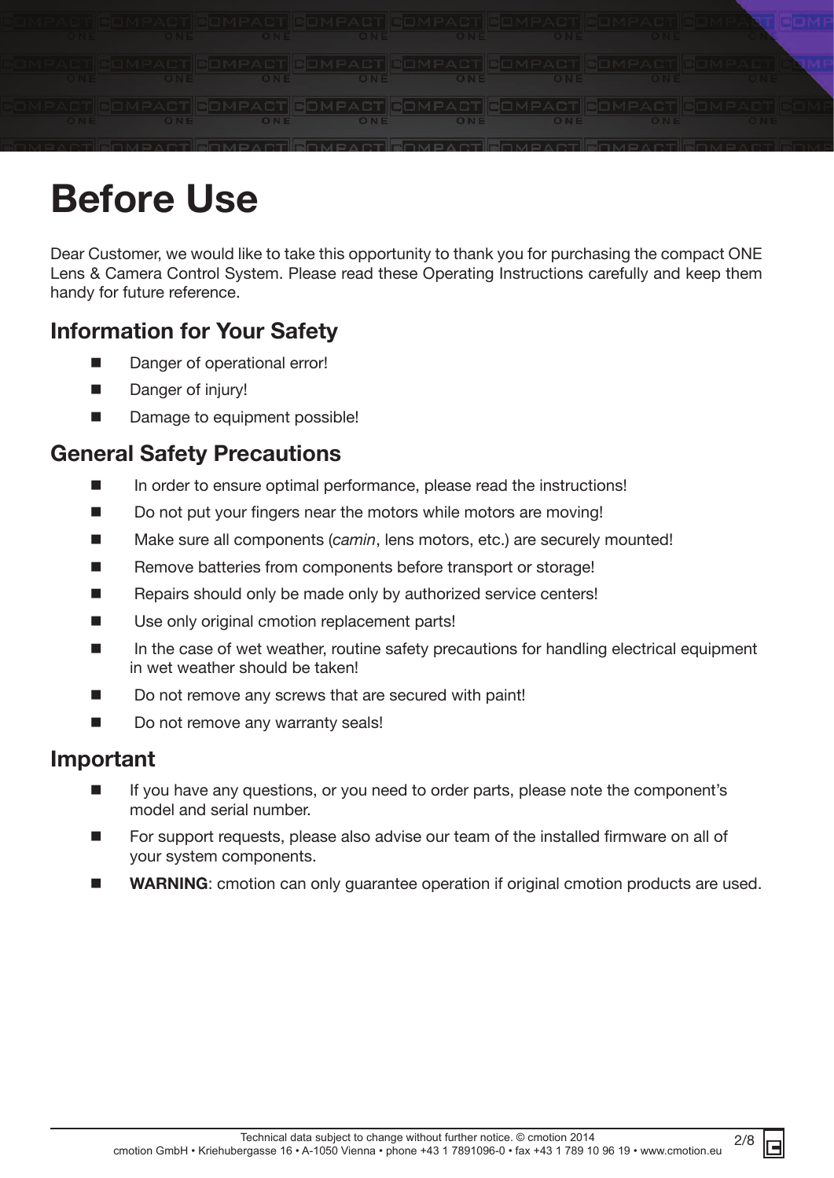

# **Before Use**

Dear Customer, we would like to take this opportunity to thank you for purchasing the compact ONE Lens & Camera Control System. Please read these Operating Instructions carefully and keep them handy for future reference.

# **Information for Your Safety**

- Danger of operational error!
- Danger of injury!
- Damage to equipment possible!

# **General Safety Precautions**

- In order to ensure optimal performance, please read the instructions!
- Do not put your fingers near the motors while motors are moving!
- Make sure all components (*camin*, lens motors, etc.) are securely mounted!
- Remove batteries from components before transport or storage!
- Repairs should only be made only by authorized service centers!
- Use only original cmotion replacement parts!
- In the case of wet weather, routine safety precautions for handling electrical equipment in wet weather should be taken!
- Do not remove any screws that are secured with paint!
- Do not remove any warranty seals!

# **Important**

- If you have any questions, or you need to order parts, please note the component's model and serial number.
- For support requests, please also advise our team of the installed firmware on all of your system components.
- **WARNING:** cmotion can only quarantee operation if original cmotion products are used.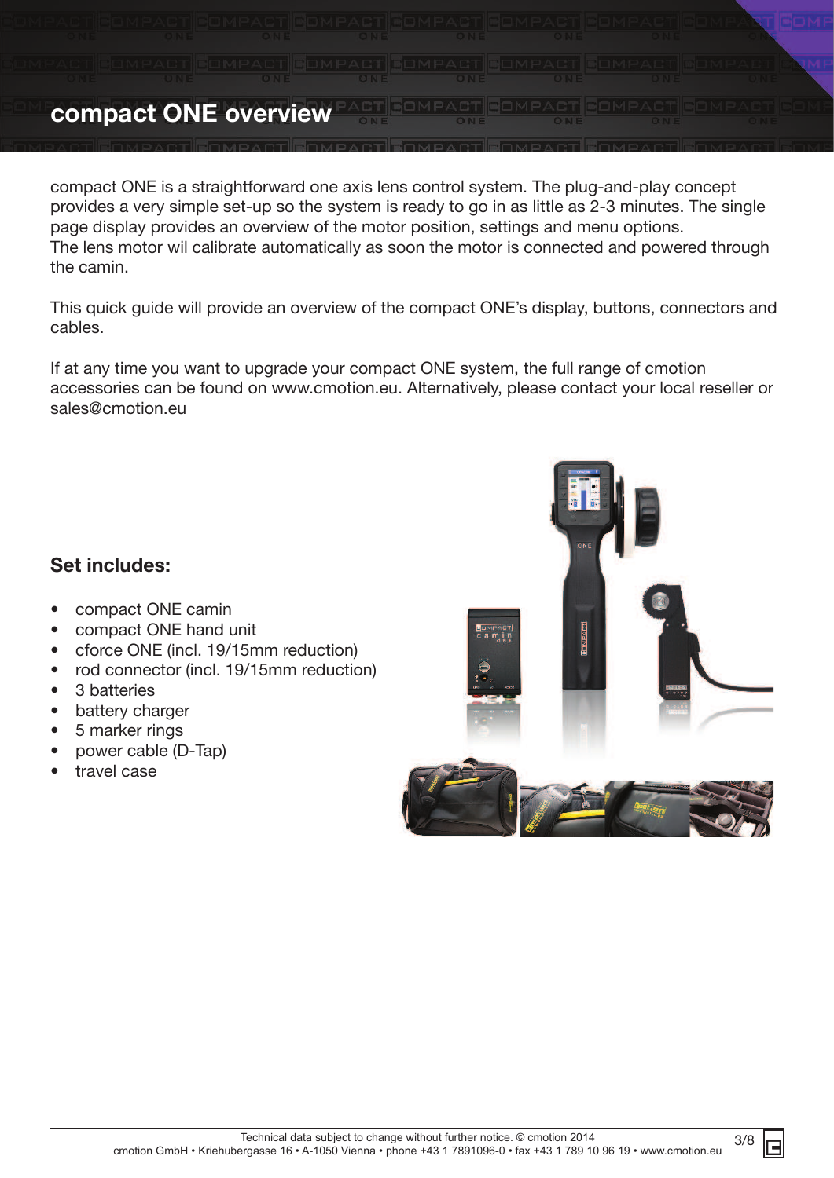

compact ONE is a straightforward one axis lens control system. The plug-and-play concept provides a very simple set-up so the system is ready to go in as little as 2-3 minutes. The single page display provides an overview of the motor position, settings and menu options. The lens motor wil calibrate automatically as soon the motor is connected and powered through the camin.

This quick guide will provide an overview of the compact ONE's display, buttons, connectors and cables.

If at any time you want to upgrade your compact ONE system, the full range of cmotion accessories can be found on www.cmotion.eu. Alternatively, please contact your local reseller or sales@cmotion.eu

# **Set includes:**

- compact ONE camin
- compact ONE hand unit
- cforce ONE (incl. 19/15mm reduction)
- rod connector (incl. 19/15mm reduction)
- 3 batteries
- battery charger
- 5 marker rings
- power cable (D-Tap)
- travel case

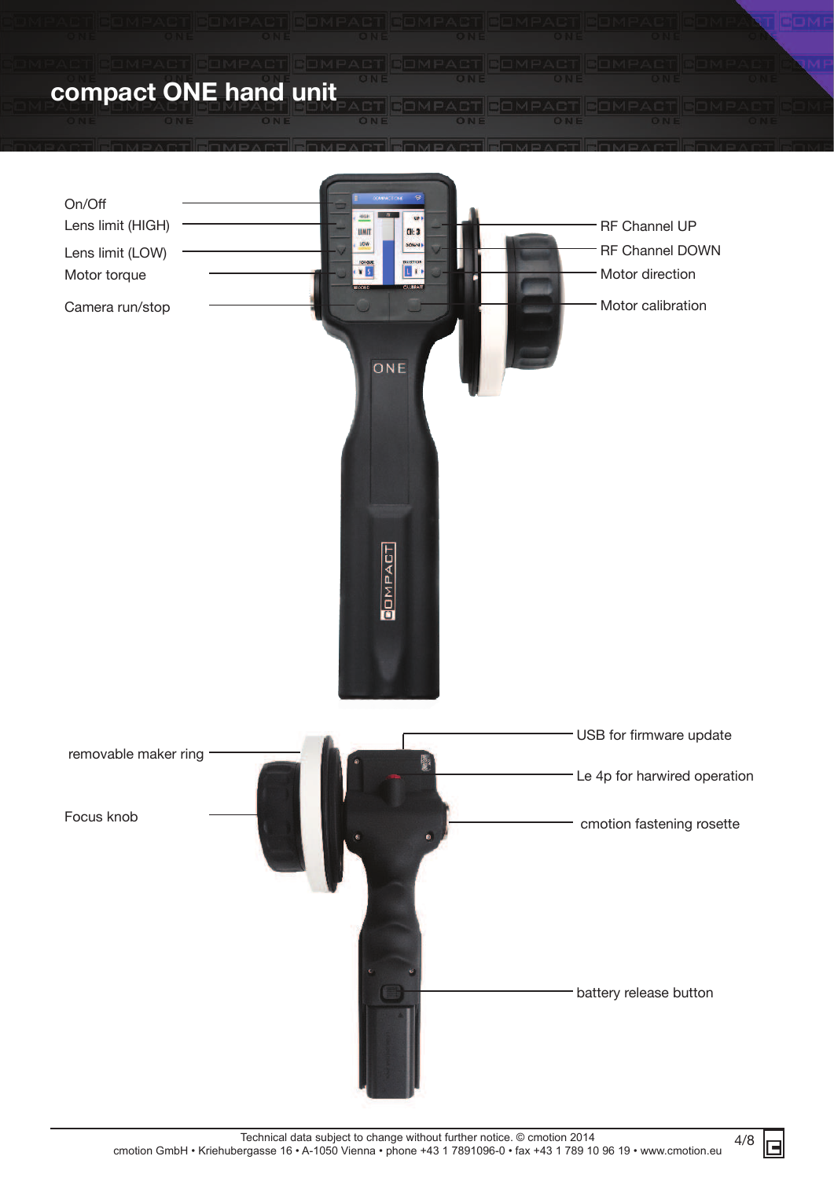

4/8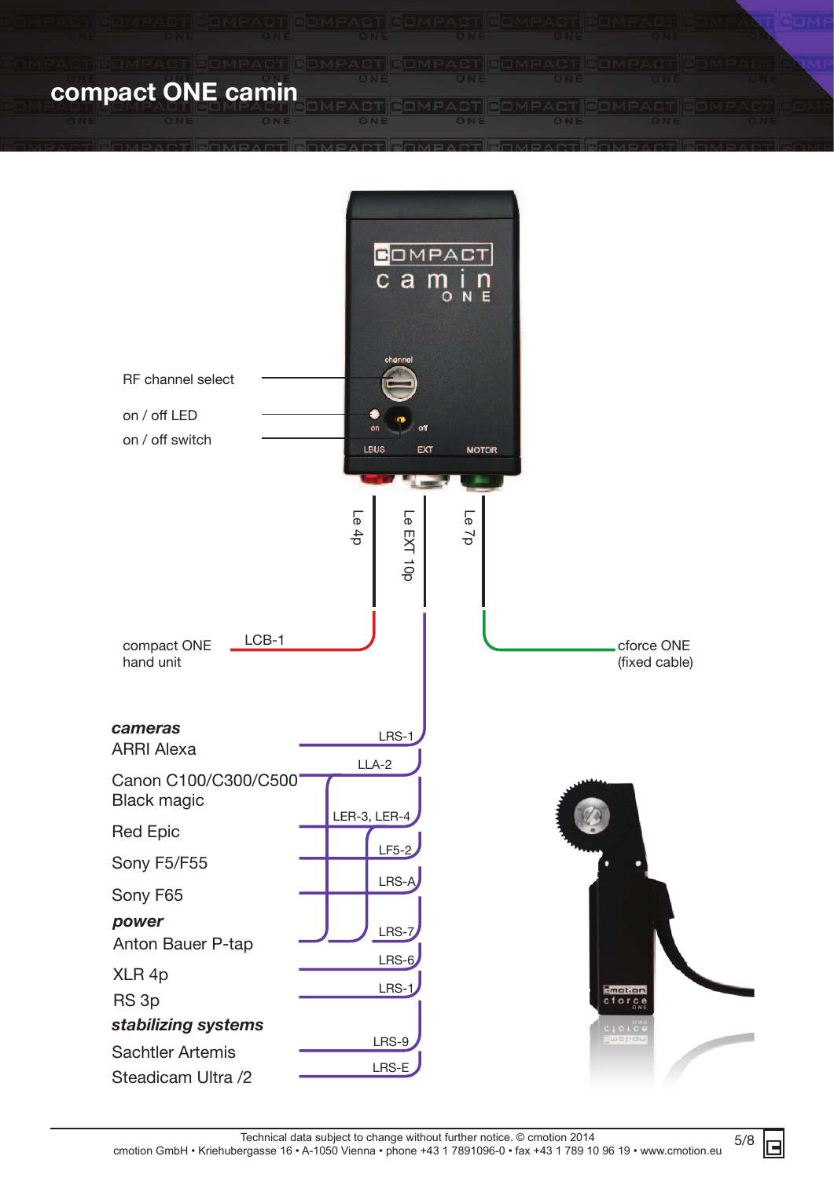**compact ONE camin**



5/8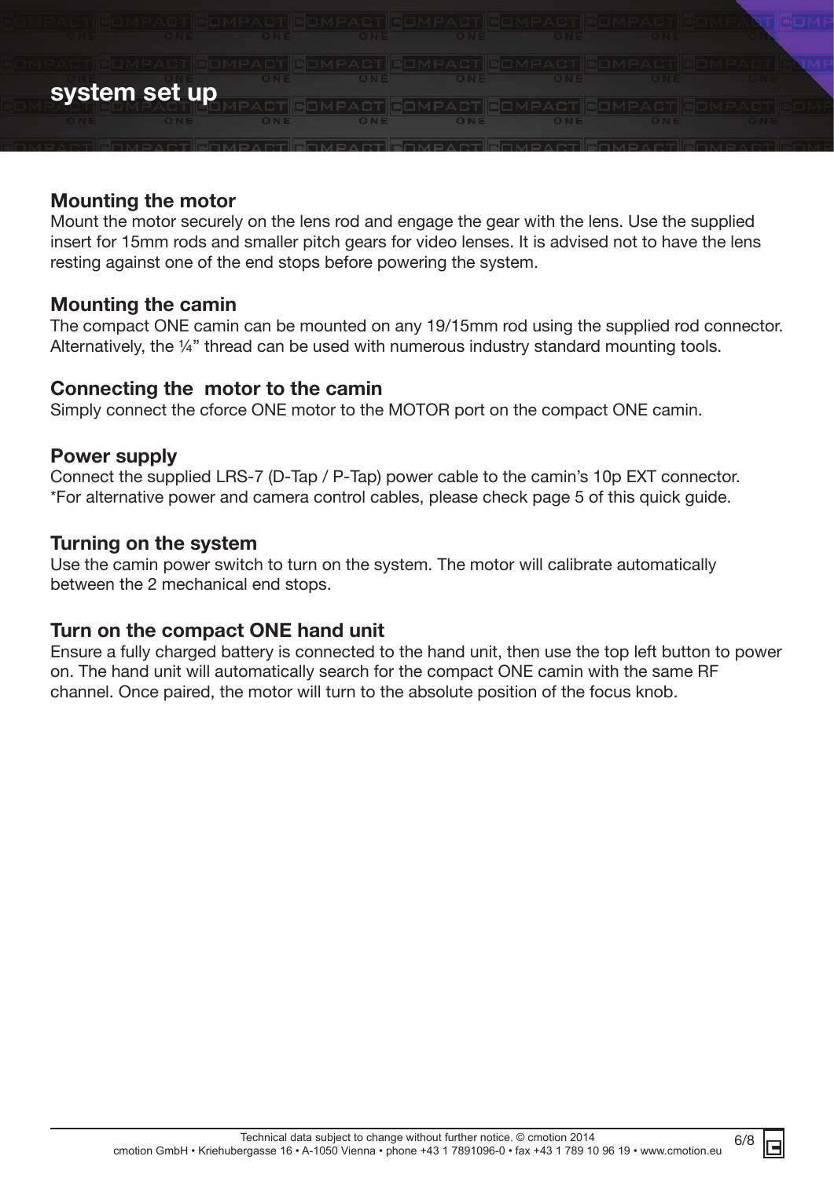

## **Mounting the motor**

Mount the motor securely on the lens rod and engage the gear with the lens. Use the supplied insert for 15mm rods and smaller pitch gears for video lenses. It is advised not to have the lens resting against one of the end stops before powering the system.

## **Mounting the camin**

The compact ONE camin can be mounted on any 19/15mm rod using the supplied rod connector. Alternatively, the ¼" thread can be used with numerous industry standard mounting tools.

## **Connecting the motor to the camin**

Simply connect the cforce ONE motor to the MOTOR port on the compact ONE camin.

## **Power supply**

Connect the supplied LRS-7 (D-Tap / P-Tap) power cable to the camin's 10p EXT connector. \*For alternative power and camera control cables, please check page 5 of this quick guide.

## **Turning on the system**

Use the camin power switch to turn on the system. The motor will calibrate automatically between the 2 mechanical end stops.

## **Turn on the compact ONE hand unit**

Ensure a fully charged battery is connected to the hand unit, then use the top left button to power on. The hand unit will automatically search for the compact ONE camin with the same RF channel. Once paired, the motor will turn to the absolute position of the focus knob.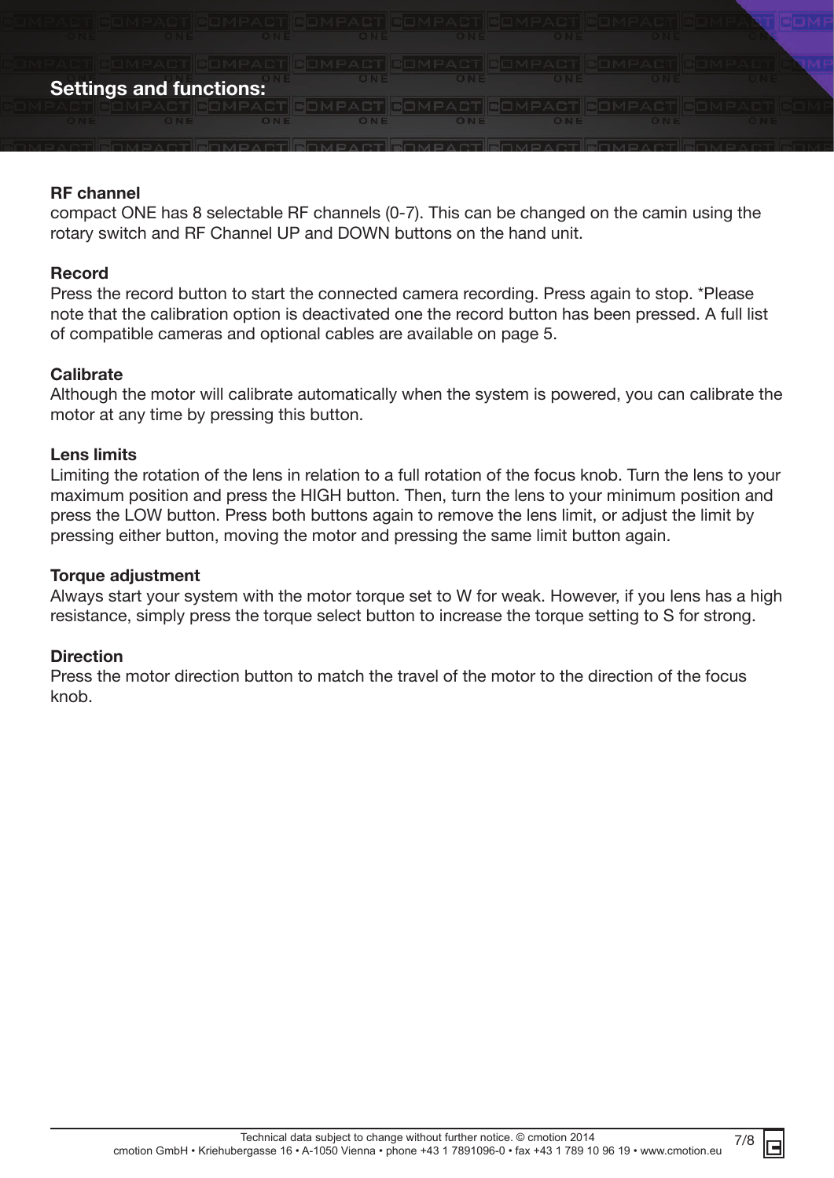#### **Settings and functions:**

#### **RF channel**

compact ONE has 8 selectable RF channels (0-7). This can be changed on the camin using the rotary switch and RF Channel UP and DOWN buttons on the hand unit.

#### **Record**

Press the record button to start the connected camera recording. Press again to stop. \*Please note that the calibration option is deactivated one the record button has been pressed. A full list of compatible cameras and optional cables are available on page 5.

#### **Calibrate**

Although the motor will calibrate automatically when the system is powered, you can calibrate the motor at any time by pressing this button.

#### **Lens limits**

Limiting the rotation of the lens in relation to a full rotation of the focus knob. Turn the lens to your maximum position and press the HIGH button. Then, turn the lens to your minimum position and press the LOW button. Press both buttons again to remove the lens limit, or adjust the limit by pressing either button, moving the motor and pressing the same limit button again.

#### **Torque adjustment**

Always start your system with the motor torque set to W for weak. However, if you lens has a high resistance, simply press the torque select button to increase the torque setting to S for strong.

#### **Direction**

Press the motor direction button to match the travel of the motor to the direction of the focus knob.